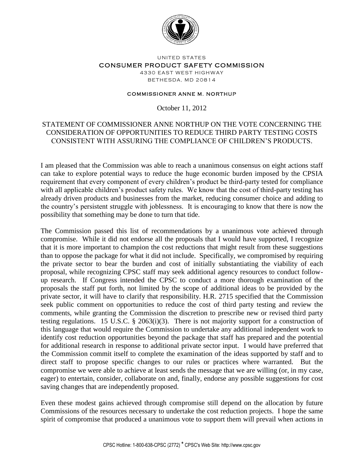

## UNITED STATES CONSUMER PRODUCT SAFETY COMMISSION 4330 EAST WEST HIGHWAY

BETHE SDA, MD 20814

## **COMMISSIONER ANNE M. NORTHUP**

October 11, 2012

## STATEMENT OF COMMISSIONER ANNE NORTHUP ON THE VOTE CONCERNING THE CONSIDERATION OF OPPORTUNITIES TO REDUCE THIRD PARTY TESTING COSTS CONSISTENT WITH ASSURING THE COMPLIANCE OF CHILDREN'S PRODUCTS.

I am pleased that the Commission was able to reach a unanimous consensus on eight actions staff can take to explore potential ways to reduce the huge economic burden imposed by the CPSIA requirement that every component of every children's product be third-party tested for compliance with all applicable children's product safety rules. We know that the cost of third-party testing has already driven products and businesses from the market, reducing consumer choice and adding to the country's persistent struggle with joblessness. It is encouraging to know that there is now the possibility that something may be done to turn that tide.

The Commission passed this list of recommendations by a unanimous vote achieved through compromise. While it did not endorse all the proposals that I would have supported, I recognize that it is more important to champion the cost reductions that might result from these suggestions than to oppose the package for what it did not include. Specifically, we compromised by requiring the private sector to bear the burden and cost of initially substantiating the viability of each proposal, while recognizing CPSC staff may seek additional agency resources to conduct followup research. If Congress intended the CPSC to conduct a more thorough examination of the proposals the staff put forth, not limited by the scope of additional ideas to be provided by the private sector, it will have to clarify that responsibility. H.R. 2715 specified that the Commission seek public comment on opportunities to reduce the cost of third party testing and review the comments, while granting the Commission the discretion to prescribe new or revised third party testing regulations. 15 U.S.C. § 2063(i)(3). There is not majority support for a construction of this language that would require the Commission to undertake any additional independent work to identify cost reduction opportunities beyond the package that staff has prepared and the potential for additional research in response to additional private sector input. I would have preferred that the Commission commit itself to complete the examination of the ideas supported by staff and to direct staff to propose specific changes to our rules or practices where warranted. But the compromise we were able to achieve at least sends the message that we are willing (or, in my case, eager) to entertain, consider, collaborate on and, finally, endorse any possible suggestions for cost saving changes that are independently proposed.

Even these modest gains achieved through compromise still depend on the allocation by future Commissions of the resources necessary to undertake the cost reduction projects. I hope the same spirit of compromise that produced a unanimous vote to support them will prevail when actions in